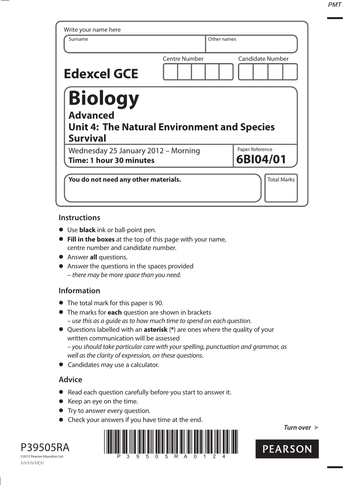*PMT*

| Write your name here                                                                                       |                      |                             |
|------------------------------------------------------------------------------------------------------------|----------------------|-----------------------------|
| Surname                                                                                                    |                      | Other names                 |
| <b>Edexcel GCE</b>                                                                                         | <b>Centre Number</b> | <b>Candidate Number</b>     |
| <b>Biology</b><br><b>Advanced</b><br><b>Unit 4: The Natural Environment and Species</b><br><b>Survival</b> |                      |                             |
| Wednesday 25 January 2012 - Morning<br>Time: 1 hour 30 minutes                                             |                      | Paper Reference<br>6BI04/01 |
| You do not need any other materials.                                                                       |                      | <b>Total Marks</b>          |

## **Instructions**

- **t** Use **black** ink or ball-point pen.
- **Fill in the boxes** at the top of this page with your name, centre number and candidate number.
- **•** Answer **all** questions.
- **•** Answer the questions in the spaces provided – there may be more space than you need.

## **Information**

- **•** The total mark for this paper is 90.
- **t** The marks for **each** question are shown in brackets – use this as a guide as to how much time to spend on each question.
- **t** Questions labelled with an **asterisk** (**\***) are ones where the quality of your written communication will be assessed – you should take particular care with your spelling, punctuation and grammar, as well as the clarity of expression, on these questions.
- **•** Candidates may use a calculator.

## **Advice**

- **•** Read each question carefully before you start to answer it.
- **•** Keep an eye on the time.
- **•** Try to answer every question.
- **•** Check your answers if you have time at the end.



*Turn over* 



P39505RA ©2012 Pearson Education Ltd. 1/1/1/1/1/C1/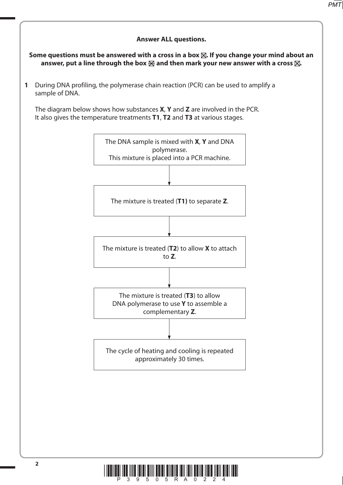**Answer ALL questions. Some questions must be answered with a cross in a box . If you change your mind about an answer, put a line through the box and then mark your new answer with a cross . 1** During DNA profiling, the polymerase chain reaction (PCR) can be used to amplify a sample of DNA. The diagram below shows how substances **X**, **Y** and **Z** are involved in the PCR. It also gives the temperature treatments **T1**, **T2** and **T3** at various stages. The DNA sample is mixed with **X**, **Y** and DNA polymerase. This mixture is placed into a PCR machine. The mixture is treated (**T1)** to separate **Z**. The mixture is treated (**T2**) to allow **X** to attach to **Z**. The mixture is treated (**T3**) to allow DNA polymerase to use **Y** to assemble a complementary **Z**. The cycle of heating and cooling is repeated approximately 30 times.

*PMT*

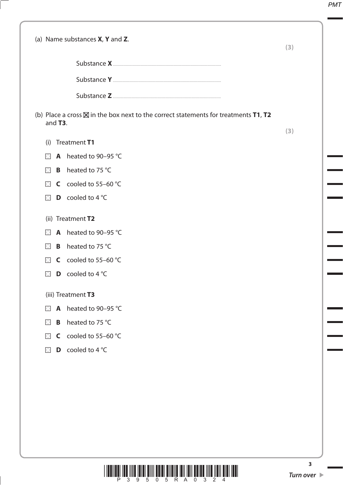*PMT*

ست

i

|                    | (b) Place a cross $\boxtimes$ in the box next to the correct statements for treatments T1, T2 |     |
|--------------------|-----------------------------------------------------------------------------------------------|-----|
| and T3.            |                                                                                               |     |
| (i)                | Treatment T1                                                                                  | (3) |
| X                  | <b>A</b> heated to 90-95 $^{\circ}$ C                                                         |     |
| B<br>$\boxtimes$   | heated to 75 °C                                                                               |     |
| X                  | C cooled to $55-60$ °C                                                                        |     |
| X                  | <b>D</b> cooled to 4 $^{\circ}$ C                                                             |     |
| (ii) Treatment T2  |                                                                                               |     |
| $\mathbb{R}$       | <b>A</b> heated to 90-95 $^{\circ}$ C                                                         |     |
| B<br>$\mathbb{X}$  | heated to 75 °C                                                                               |     |
| $\mathbb{X}$       | C cooled to $55-60$ °C                                                                        |     |
| ÞЗ                 | <b>D</b> cooled to 4 $^{\circ}$ C                                                             |     |
| (iii) Treatment T3 |                                                                                               |     |
| $\boxtimes$<br>A   | heated to 90-95 °C                                                                            |     |
| B<br>$\times$      | heated to 75 °C                                                                               |     |
| $\times$           | C cooled to $55-60$ °C                                                                        |     |
| $\boxtimes$        | <b>D</b> cooled to 4 $^{\circ}$ C                                                             |     |
|                    |                                                                                               |     |
|                    |                                                                                               |     |
|                    |                                                                                               |     |
|                    |                                                                                               |     |
|                    |                                                                                               |     |

–



**3**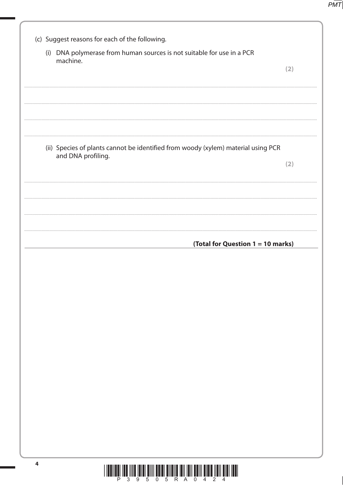| (i) DNA polymerase from human sources is not suitable for use in a PCR<br>machine. |     |
|------------------------------------------------------------------------------------|-----|
|                                                                                    | (2) |
|                                                                                    |     |
|                                                                                    |     |
|                                                                                    |     |
|                                                                                    |     |
|                                                                                    |     |
| (ii) Species of plants cannot be identified from woody (xylem) material using PCR  |     |
| and DNA profiling.                                                                 |     |
|                                                                                    | (2) |
|                                                                                    |     |
|                                                                                    |     |
|                                                                                    |     |
|                                                                                    |     |
|                                                                                    |     |
| (Total for Question 1 = 10 marks)                                                  |     |
|                                                                                    |     |
|                                                                                    |     |
|                                                                                    |     |
|                                                                                    |     |
|                                                                                    |     |
|                                                                                    |     |
|                                                                                    |     |
|                                                                                    |     |
|                                                                                    |     |
|                                                                                    |     |
|                                                                                    |     |
|                                                                                    |     |
|                                                                                    |     |
|                                                                                    |     |
|                                                                                    |     |
|                                                                                    |     |
|                                                                                    |     |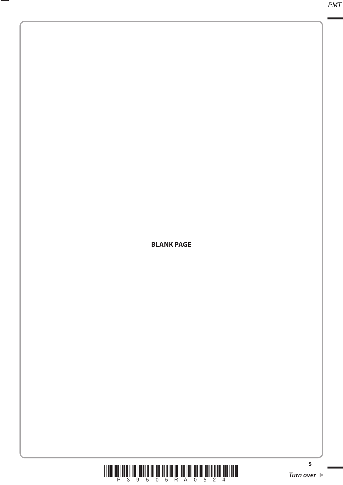

 $\frac{1}{2}$   $\frac{1}{2}$   $\frac{1}{2}$   $\frac{1}{3}$   $\frac{1}{9}$   $\frac{1}{5}$   $\frac{1}{0}$   $\frac{1}{5}$   $\frac{1}{10}$   $\frac{1}{10}$   $\frac{1}{10}$   $\frac{1}{10}$   $\frac{1}{10}$   $\frac{1}{10}$   $\frac{1}{10}$   $\frac{1}{10}$   $\frac{1}{10}$   $\frac{1}{10}$   $\frac{1}{10}$   $\frac{1}{10}$   $\frac{1}{10}$ 

**BLANK PAGE**

-

**5**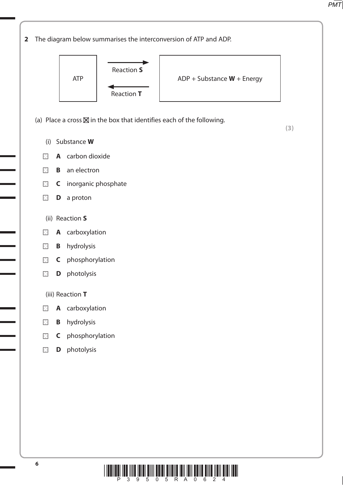

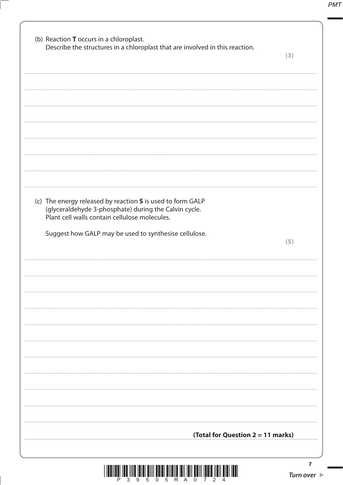| Describe the structures in a chloroplast that are involved in this reaction.                                                                                         | (3) |
|----------------------------------------------------------------------------------------------------------------------------------------------------------------------|-----|
|                                                                                                                                                                      |     |
|                                                                                                                                                                      |     |
|                                                                                                                                                                      |     |
|                                                                                                                                                                      |     |
| (c) The energy released by reaction S is used to form GALP<br>(glyceraldehyde 3-phosphate) during the Calvin cycle.<br>Plant cell walls contain cellulose molecules. |     |
| Suggest how GALP may be used to synthesise cellulose.                                                                                                                | (5) |
|                                                                                                                                                                      |     |
|                                                                                                                                                                      |     |
|                                                                                                                                                                      |     |
|                                                                                                                                                                      |     |
|                                                                                                                                                                      |     |
|                                                                                                                                                                      |     |
|                                                                                                                                                                      |     |

-

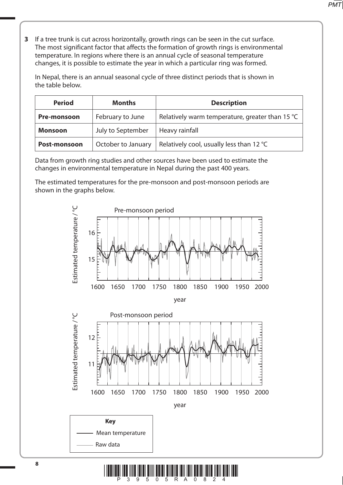**3** If a tree trunk is cut across horizontally, growth rings can be seen in the cut surface. The most significant factor that affects the formation of growth rings is environmental temperature. In regions where there is an annual cycle of seasonal temperature

changes, it is possible to estimate the year in which a particular ring was formed.

In Nepal, there is an annual seasonal cycle of three distinct periods that is shown in the table below.

| <b>Period</b>  | <b>Months</b>      | <b>Description</b>                                       |
|----------------|--------------------|----------------------------------------------------------|
| Pre-monsoon    | February to June   | Relatively warm temperature, greater than 15 $\degree$ C |
| <b>Monsoon</b> | July to September  | Heavy rainfall                                           |
| Post-monsoon   | October to January | Relatively cool, usually less than 12 $°C$               |

Data from growth ring studies and other sources have been used to estimate the changes in environmental temperature in Nepal during the past 400 years.

The estimated temperatures for the pre-monsoon and post-monsoon periods are shown in the graphs below.



\*P30505RA0825RA0825RA0825RA0825RA0825RA0825RA0825RA0825RA0825 3 9 5 0 5 R A 0 8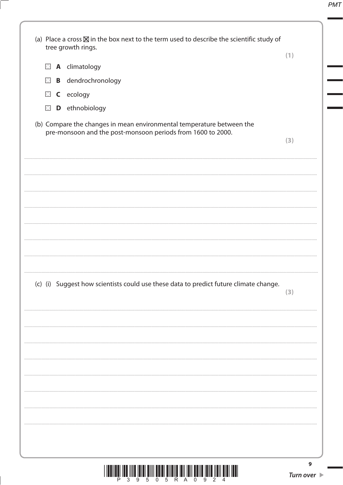**PMT** 

| (c) (i) Suggest how scientists could use these data to predict future climate change.   | (3) |
|-----------------------------------------------------------------------------------------|-----|
|                                                                                         |     |
|                                                                                         |     |
|                                                                                         |     |
| pre-monsoon and the post-monsoon periods from 1600 to 2000.                             | (3) |
| D ethnobiology<br>(b) Compare the changes in mean environmental temperature between the |     |
| <b>B</b> dendrochronology<br>$\times$<br><b>C</b> ecology                               |     |
| A climatology                                                                           |     |
|                                                                                         | (1) |

 $\overline{\phantom{a}}$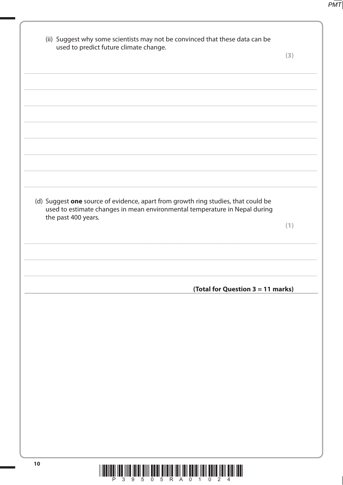(ii) Suggest why some scientists may not be convinced that these data can be used to predict future climate change.  $(3)$ (d) Suggest one source of evidence, apart from growth ring studies, that could be used to estimate changes in mean environmental temperature in Nepal during the past 400 years.  $(1)$ (Total for Question  $3 = 11$  marks)  $10$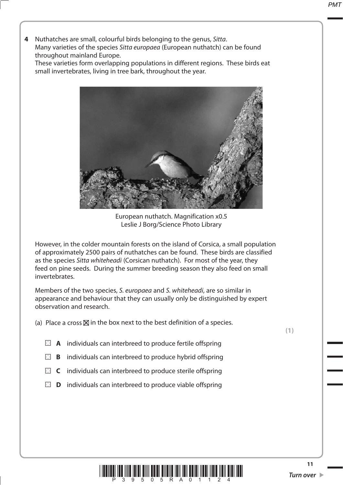**4** Nuthatches are small, colourful birds belonging to the genus, Sitta. Many varieties of the species Sitta europaea (European nuthatch) can be found throughout mainland Europe.

These varieties form overlapping populations in different regions. These birds eat small invertebrates, living in tree bark, throughout the year.



European nuthatch. Magnification x0.5 Leslie J Borg/Science Photo Library

However, in the colder mountain forests on the island of Corsica, a small population of approximately 2500 pairs of nuthatches can be found. These birds are classified as the species Sitta whiteheadi (Corsican nuthatch). For most of the year, they feed on pine seeds. During the summer breeding season they also feed on small invertebrates.

Members of the two species, S. europaea and S. whiteheadi, are so similar in appearance and behaviour that they can usually only be distinguished by expert observation and research.

(a) Place a cross  $\boxtimes$  in the box next to the best definition of a species.

**(1)**

- **A** individuals can interbreed to produce fertile offspring
- **B** individuals can interbreed to produce hybrid offspring
- **C** individuals can interbreed to produce sterile offspring
- **D** individuals can interbreed to produce viable offspring

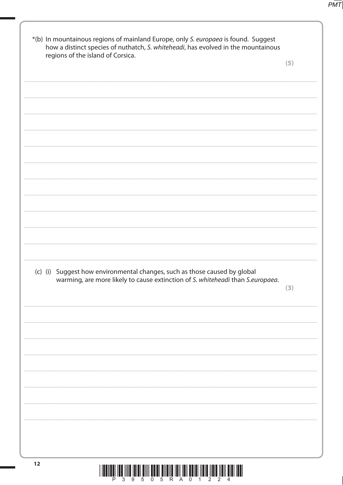| regions of the island of Corsica.                                                                                                                           | (5) |
|-------------------------------------------------------------------------------------------------------------------------------------------------------------|-----|
|                                                                                                                                                             |     |
|                                                                                                                                                             |     |
|                                                                                                                                                             |     |
|                                                                                                                                                             |     |
|                                                                                                                                                             |     |
|                                                                                                                                                             |     |
|                                                                                                                                                             |     |
|                                                                                                                                                             |     |
|                                                                                                                                                             |     |
|                                                                                                                                                             |     |
|                                                                                                                                                             |     |
|                                                                                                                                                             |     |
|                                                                                                                                                             |     |
|                                                                                                                                                             |     |
|                                                                                                                                                             |     |
|                                                                                                                                                             |     |
|                                                                                                                                                             |     |
| (c) (i) Suggest how environmental changes, such as those caused by global<br>warming, are more likely to cause extinction of S. whiteheadi than S.europaea. | (2) |
|                                                                                                                                                             |     |
|                                                                                                                                                             |     |
|                                                                                                                                                             |     |
|                                                                                                                                                             |     |
|                                                                                                                                                             |     |
|                                                                                                                                                             |     |
|                                                                                                                                                             |     |
|                                                                                                                                                             |     |
|                                                                                                                                                             |     |
|                                                                                                                                                             |     |
|                                                                                                                                                             |     |
|                                                                                                                                                             |     |
|                                                                                                                                                             |     |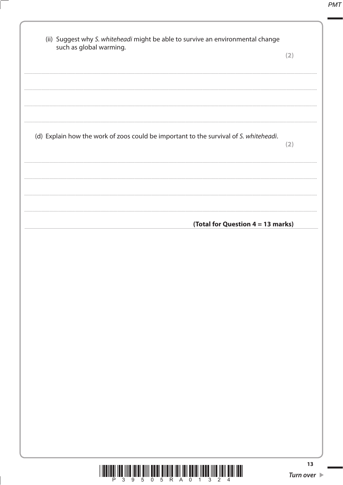| (ii) Suggest why S. whiteheadi might be able to survive an environmental change<br>such as global warming. | (2) |
|------------------------------------------------------------------------------------------------------------|-----|
|                                                                                                            |     |
| (d) Explain how the work of zoos could be important to the survival of S. whiteheadi.                      | (2) |
| (Total for Question 4 = 13 marks)                                                                          |     |
|                                                                                                            |     |
|                                                                                                            |     |
|                                                                                                            |     |
|                                                                                                            |     |
|                                                                                                            |     |

–



 $13$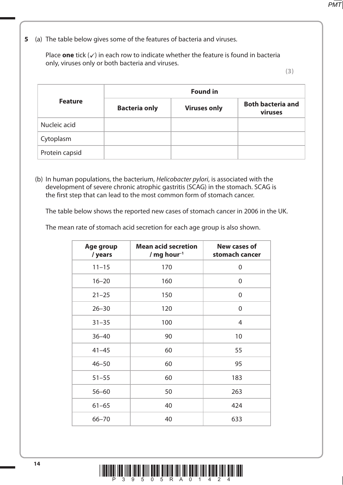## **5** (a) The table below gives some of the features of bacteria and viruses.

Place **one** tick  $(\checkmark)$  in each row to indicate whether the feature is found in bacteria only, viruses only or both bacteria and viruses.

**(3)**

|                |                      | <b>Found in</b>     |                                     |
|----------------|----------------------|---------------------|-------------------------------------|
| <b>Feature</b> | <b>Bacteria only</b> | <b>Viruses only</b> | <b>Both bacteria and</b><br>viruses |
| Nucleic acid   |                      |                     |                                     |
| Cytoplasm      |                      |                     |                                     |
| Protein capsid |                      |                     |                                     |

(b) In human populations, the bacterium, Helicobacter pylori, is associated with the development of severe chronic atrophic gastritis (SCAG) in the stomach. SCAG is the first step that can lead to the most common form of stomach cancer.

The table below shows the reported new cases of stomach cancer in 2006 in the UK.

The mean rate of stomach acid secretion for each age group is also shown.

| Age group<br>/ years | <b>Mean acid secretion</b><br>/ mg hour <sup>-1</sup> | <b>New cases of</b><br>stomach cancer |
|----------------------|-------------------------------------------------------|---------------------------------------|
| $11 - 15$            | 170                                                   | 0                                     |
| $16 - 20$            | 160                                                   | $\overline{0}$                        |
| $21 - 25$            | 150                                                   | $\mathbf 0$                           |
| $26 - 30$            | 120                                                   | $\overline{0}$                        |
| $31 - 35$            | 100                                                   | $\overline{4}$                        |
| $36 - 40$            | 90                                                    | 10                                    |
| $41 - 45$            | 60                                                    | 55                                    |
| $46 - 50$            | 60                                                    | 95                                    |
| $51 - 55$            | 60                                                    | 183                                   |
| $56 - 60$            | 50                                                    | 263                                   |
| $61 - 65$            | 40                                                    | 424                                   |
| $66 - 70$            | 40                                                    | 633                                   |

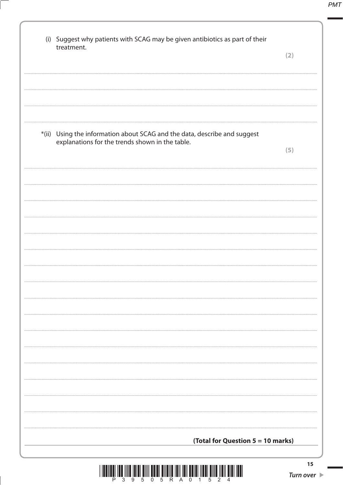(i) Suggest why patients with SCAG may be given antibiotics as part of their treatment.  $(2)$ \*(ii) Using the information about SCAG and the data, describe and suggest explanations for the trends shown in the table.  $(5)$ (Total for Question 5 = 10 marks)

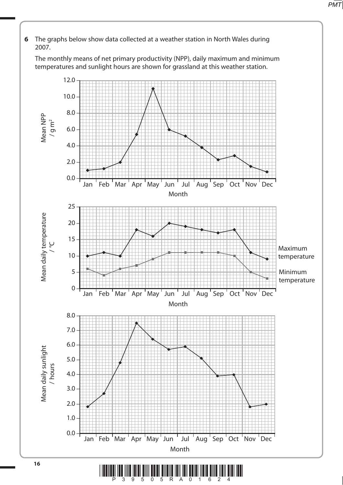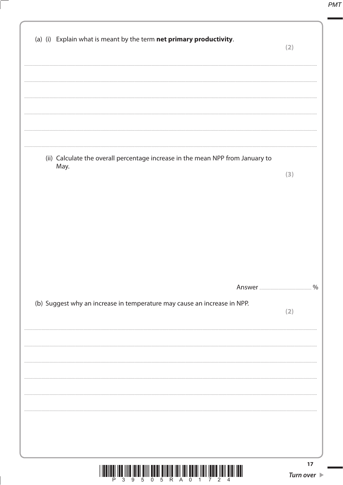| (a) (i) Explain what is meant by the term net primary productivity.                    | (2) |
|----------------------------------------------------------------------------------------|-----|
|                                                                                        |     |
|                                                                                        |     |
|                                                                                        |     |
|                                                                                        |     |
| (ii) Calculate the overall percentage increase in the mean NPP from January to<br>May. | (3) |
|                                                                                        |     |
|                                                                                        |     |
|                                                                                        |     |
|                                                                                        |     |
|                                                                                        |     |
|                                                                                        |     |
|                                                                                        |     |
|                                                                                        | (2) |
| (b) Suggest why an increase in temperature may cause an increase in NPP.               |     |
|                                                                                        |     |
|                                                                                        |     |
|                                                                                        |     |
|                                                                                        |     |
|                                                                                        |     |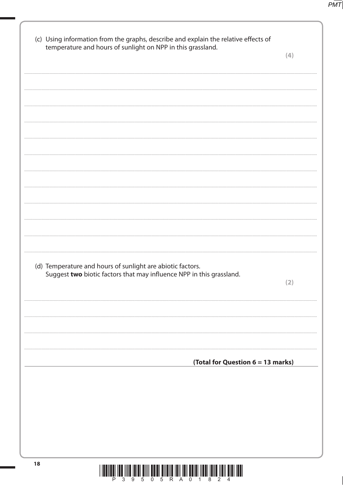| temperature and hours of sunlight on NPP in this grassland. |                                                                      | (4)                               |
|-------------------------------------------------------------|----------------------------------------------------------------------|-----------------------------------|
|                                                             |                                                                      |                                   |
|                                                             |                                                                      |                                   |
|                                                             |                                                                      |                                   |
|                                                             |                                                                      |                                   |
|                                                             |                                                                      |                                   |
|                                                             |                                                                      |                                   |
|                                                             |                                                                      |                                   |
|                                                             |                                                                      |                                   |
|                                                             |                                                                      |                                   |
|                                                             |                                                                      |                                   |
|                                                             |                                                                      |                                   |
|                                                             |                                                                      |                                   |
|                                                             |                                                                      |                                   |
|                                                             |                                                                      |                                   |
|                                                             |                                                                      |                                   |
|                                                             |                                                                      |                                   |
| (d) Temperature and hours of sunlight are abiotic factors.  | Suggest two biotic factors that may influence NPP in this grassland. |                                   |
|                                                             |                                                                      |                                   |
|                                                             |                                                                      |                                   |
|                                                             |                                                                      |                                   |
|                                                             |                                                                      |                                   |
|                                                             |                                                                      |                                   |
|                                                             |                                                                      | (Total for Question 6 = 13 marks) |
|                                                             |                                                                      |                                   |
|                                                             |                                                                      |                                   |
|                                                             |                                                                      |                                   |
|                                                             |                                                                      |                                   |
|                                                             |                                                                      |                                   |
|                                                             |                                                                      |                                   |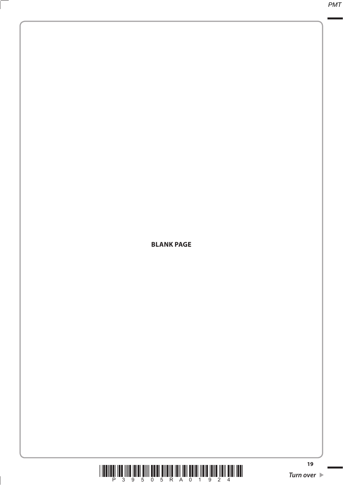**BLANK PAGE**

-

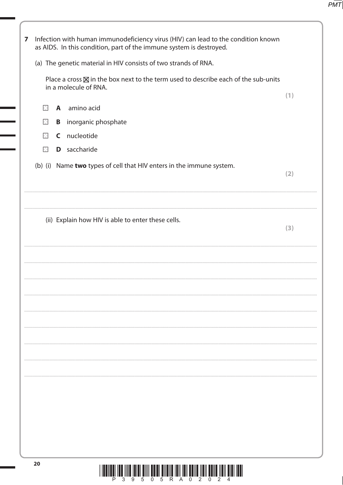| 7 |                                                                                                                       | Infection with human immunodeficiency virus (HIV) can lead to the condition known<br>as AIDS. In this condition, part of the immune system is destroyed. |                                                                      |     |  |  |  |
|---|-----------------------------------------------------------------------------------------------------------------------|----------------------------------------------------------------------------------------------------------------------------------------------------------|----------------------------------------------------------------------|-----|--|--|--|
|   | (a) The genetic material in HIV consists of two strands of RNA.                                                       |                                                                                                                                                          |                                                                      |     |  |  |  |
|   | Place a cross $\boxtimes$ in the box next to the term used to describe each of the sub-units<br>in a molecule of RNA. |                                                                                                                                                          |                                                                      |     |  |  |  |
|   | X                                                                                                                     |                                                                                                                                                          | A amino acid                                                         |     |  |  |  |
|   | $\boxtimes$                                                                                                           |                                                                                                                                                          | <b>B</b> inorganic phosphate                                         |     |  |  |  |
|   | $\times$                                                                                                              |                                                                                                                                                          | C nucleotide                                                         |     |  |  |  |
|   | $\times$                                                                                                              |                                                                                                                                                          | <b>D</b> saccharide                                                  |     |  |  |  |
|   |                                                                                                                       |                                                                                                                                                          | (b) (i) Name two types of cell that HIV enters in the immune system. | (2) |  |  |  |
|   |                                                                                                                       |                                                                                                                                                          |                                                                      |     |  |  |  |
|   |                                                                                                                       |                                                                                                                                                          | (ii) Explain how HIV is able to enter these cells.                   | (3) |  |  |  |
|   |                                                                                                                       |                                                                                                                                                          |                                                                      |     |  |  |  |
|   |                                                                                                                       |                                                                                                                                                          |                                                                      |     |  |  |  |
|   |                                                                                                                       |                                                                                                                                                          |                                                                      |     |  |  |  |
|   |                                                                                                                       |                                                                                                                                                          |                                                                      |     |  |  |  |
|   |                                                                                                                       |                                                                                                                                                          |                                                                      |     |  |  |  |
|   |                                                                                                                       |                                                                                                                                                          |                                                                      |     |  |  |  |
|   |                                                                                                                       |                                                                                                                                                          |                                                                      |     |  |  |  |
|   |                                                                                                                       |                                                                                                                                                          |                                                                      |     |  |  |  |
|   |                                                                                                                       |                                                                                                                                                          |                                                                      |     |  |  |  |
|   |                                                                                                                       |                                                                                                                                                          |                                                                      |     |  |  |  |
|   |                                                                                                                       |                                                                                                                                                          |                                                                      |     |  |  |  |
|   |                                                                                                                       |                                                                                                                                                          |                                                                      |     |  |  |  |
|   |                                                                                                                       |                                                                                                                                                          |                                                                      |     |  |  |  |
|   |                                                                                                                       |                                                                                                                                                          |                                                                      |     |  |  |  |
|   |                                                                                                                       |                                                                                                                                                          |                                                                      |     |  |  |  |
|   | 20                                                                                                                    |                                                                                                                                                          |                                                                      |     |  |  |  |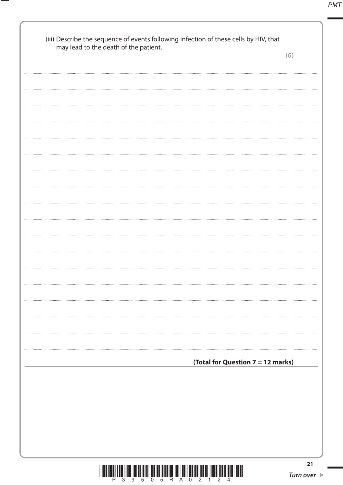| may lead to the death of the patient. | (6)                               |  |
|---------------------------------------|-----------------------------------|--|
|                                       |                                   |  |
|                                       |                                   |  |
|                                       |                                   |  |
|                                       |                                   |  |
|                                       |                                   |  |
|                                       |                                   |  |
|                                       |                                   |  |
|                                       |                                   |  |
|                                       |                                   |  |
|                                       |                                   |  |
|                                       |                                   |  |
|                                       |                                   |  |
|                                       |                                   |  |
|                                       |                                   |  |
|                                       |                                   |  |
|                                       |                                   |  |
|                                       |                                   |  |
|                                       |                                   |  |
|                                       |                                   |  |
|                                       |                                   |  |
|                                       |                                   |  |
|                                       |                                   |  |
|                                       | (Total for Question 7 = 12 marks) |  |
|                                       |                                   |  |
|                                       |                                   |  |
|                                       |                                   |  |
|                                       |                                   |  |
|                                       |                                   |  |
|                                       |                                   |  |
|                                       |                                   |  |

 $\overline{\phantom{0}}$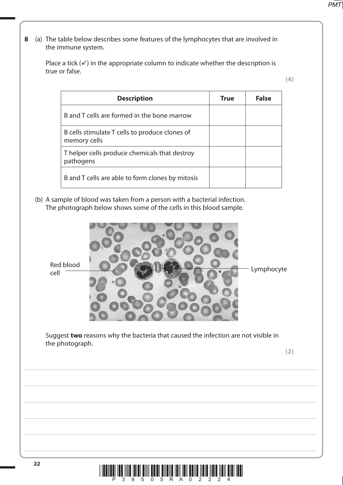(a) The table below describes some features of the lymphocytes that are involved in 8 the immune system.

Place a tick  $(\checkmark)$  in the appropriate column to indicate whether the description is true or false.

 $(4)$ 

| <b>Description</b>                                             | True | <b>False</b> |
|----------------------------------------------------------------|------|--------------|
| B and T cells are formed in the bone marrow                    |      |              |
| B cells stimulate T cells to produce clones of<br>memory cells |      |              |
| T helper cells produce chemicals that destroy<br>pathogens     |      |              |
| B and T cells are able to form clones by mitosis               |      |              |

(b) A sample of blood was taken from a person with a bacterial infection. The photograph below shows some of the cells in this blood sample.



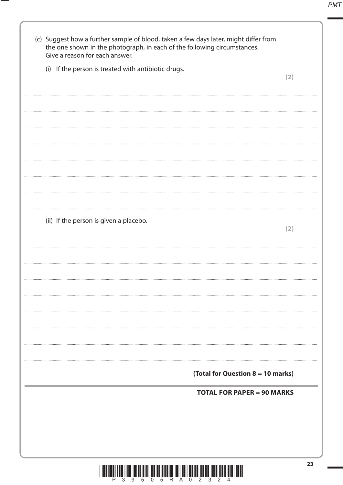| (c) Suggest how a further sample of blood, taken a few days later, might differ from<br>the one shown in the photograph, in each of the following circumstances.<br>Give a reason for each answer. |     |
|----------------------------------------------------------------------------------------------------------------------------------------------------------------------------------------------------|-----|
| (i) If the person is treated with antibiotic drugs.                                                                                                                                                |     |
|                                                                                                                                                                                                    | (2) |
|                                                                                                                                                                                                    |     |
|                                                                                                                                                                                                    |     |
|                                                                                                                                                                                                    |     |
|                                                                                                                                                                                                    |     |
|                                                                                                                                                                                                    |     |
|                                                                                                                                                                                                    |     |
|                                                                                                                                                                                                    |     |
|                                                                                                                                                                                                    |     |
|                                                                                                                                                                                                    |     |
|                                                                                                                                                                                                    |     |
|                                                                                                                                                                                                    |     |
|                                                                                                                                                                                                    |     |
|                                                                                                                                                                                                    |     |
| (ii) If the person is given a placebo.                                                                                                                                                             |     |
|                                                                                                                                                                                                    | (2) |
|                                                                                                                                                                                                    |     |
|                                                                                                                                                                                                    |     |
|                                                                                                                                                                                                    |     |
|                                                                                                                                                                                                    |     |
|                                                                                                                                                                                                    |     |
|                                                                                                                                                                                                    |     |
|                                                                                                                                                                                                    |     |
|                                                                                                                                                                                                    |     |
|                                                                                                                                                                                                    |     |
|                                                                                                                                                                                                    |     |
|                                                                                                                                                                                                    |     |
|                                                                                                                                                                                                    |     |
|                                                                                                                                                                                                    |     |
|                                                                                                                                                                                                    |     |
| (Total for Question 8 = 10 marks)                                                                                                                                                                  |     |
|                                                                                                                                                                                                    |     |
| <b>TOTAL FOR PAPER = 90 MARKS</b>                                                                                                                                                                  |     |
|                                                                                                                                                                                                    |     |
|                                                                                                                                                                                                    |     |
|                                                                                                                                                                                                    |     |
|                                                                                                                                                                                                    |     |
|                                                                                                                                                                                                    |     |
|                                                                                                                                                                                                    |     |

 $\overline{\phantom{0}}$